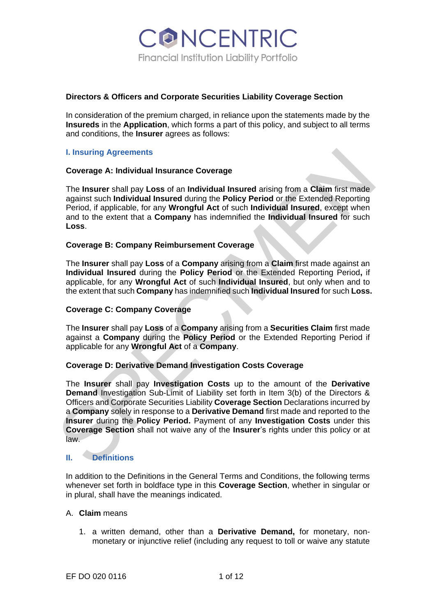**ONCENTRIC** Financial Institution Liability Portfolio

## **Directors & Officers and Corporate Securities Liability Coverage Section**

In consideration of the premium charged, in reliance upon the statements made by the **Insureds** in the **Application**, which forms a part of this policy, and subject to all terms and conditions, the **Insurer** agrees as follows:

## **I. Insuring Agreements**

## **Coverage A: Individual Insurance Coverage**

The **Insurer** shall pay **Loss** of an **Individual Insured** arising from a **Claim** first made against such **Individual Insured** during the **Policy Period** or the Extended Reporting Period, if applicable, for any **Wrongful Act** of such **Individual Insured**, except when and to the extent that a **Company** has indemnified the **Individual Insured** for such **Loss**.

## **Coverage B: Company Reimbursement Coverage**

The **Insurer** shall pay **Loss** of a **Company** arising from a **Claim** first made against an **Individual Insured** during the **Policy Period** or the Extended Reporting Period**,** if applicable, for any **Wrongful Act** of such **Individual Insured**, but only when and to the extent that such **Company** has indemnified such **Individual Insured** for such **Loss.**

#### **Coverage C: Company Coverage**

The **Insurer** shall pay **Loss** of a **Company** arising from a **Securities Claim** first made against a **Company** during the **Policy Period** or the Extended Reporting Period if applicable for any **Wrongful Act** of a **Company**.

#### **Coverage D: Derivative Demand Investigation Costs Coverage**

I. Insuring Agreements<br>
Coverage A: Individual Insurance Coverage<br>
The Insurer shall pay Loss of an Individual Insured arising from a Claim first made<br>
are the Insurer shall pay Loss of an Individual Insured arising from a The **Insurer** shall pay **Investigation Costs** up to the amount of the **Derivative Demand** Investigation Sub-Limit of Liability set forth in Item 3(b) of the Directors & Officers and Corporate Securities Liability **Coverage Section** Declarations incurred by a **Company** solely in response to a **Derivative Demand** first made and reported to the **Insurer** during the **Policy Period.** Payment of any **Investigation Costs** under this **Coverage Section** shall not waive any of the **Insurer**'s rights under this policy or at law.

# **II. Definitions**

In addition to the Definitions in the General Terms and Conditions, the following terms whenever set forth in boldface type in this **Coverage Section**, whether in singular or in plural, shall have the meanings indicated.

#### A. **Claim** means

1. a written demand, other than a **Derivative Demand,** for monetary, nonmonetary or injunctive relief (including any request to toll or waive any statute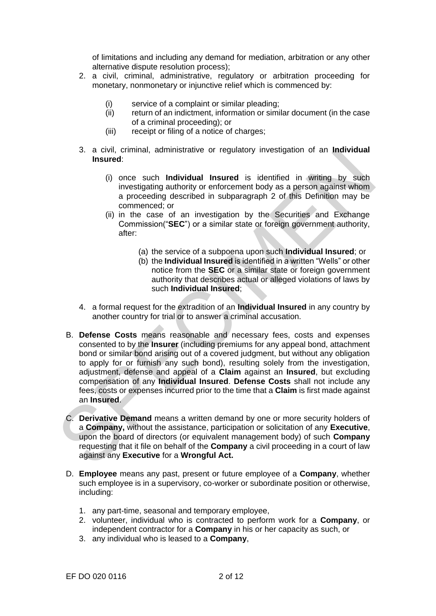of limitations and including any demand for mediation, arbitration or any other alternative dispute resolution process);

- 2. a civil, criminal, administrative, regulatory or arbitration proceeding for monetary, nonmonetary or injunctive relief which is commenced by:
	- (i) service of a complaint or similar pleading;
	- (ii) return of an indictment, information or similar document (in the case of a criminal proceeding); or
	- (iii) receipt or filing of a notice of charges;
- 3. a civil, criminal, administrative or regulatory investigation of an **Individual Insured**:
	- (i) once such **Individual Insured** is identified in writing by such investigating authority or enforcement body as a person against whom a proceeding described in subparagraph 2 of this Definition may be commenced; or
	- (ii) in the case of an investigation by the Securities and Exchange Commission("**SEC**") or a similar state or foreign government authority, after:
		- (a) the service of a subpoena upon such **Individual Insured**; or
		- (b) the **Individual Insured** is identified in a written "Wells" or other notice from the **SEC** or a similar state or foreign government authority that describes actual or alleged violations of laws by such **Individual Insured**;
- 4. a formal request for the extradition of an **Individual Insured** in any country by another country for trial or to answer a criminal accusation.
- 3. a civil, criminal, administrative or regulatory investigation of an **individual**<br>
Insured:<br>
(i) once such **Individual Insured** is identified in writing by such<br>
investigating authority or enforcement body as a genson ag B. **Defense Costs** means reasonable and necessary fees, costs and expenses consented to by the **Insurer** (including premiums for any appeal bond, attachment bond or similar bond arising out of a covered judgment, but without any obligation to apply for or furnish any such bond), resulting solely from the investigation, adjustment, defense and appeal of a **Claim** against an **Insured**, but excluding compensation of any **Individual Insured**. **Defense Costs** shall not include any fees, costs or expenses incurred prior to the time that a **Claim** is first made against an **Insured**.
	- C. **Derivative Demand** means a written demand by one or more security holders of a **Company,** without the assistance, participation or solicitation of any **Executive**, upon the board of directors (or equivalent management body) of such **Company**  requesting that it file on behalf of the **Company** a civil proceeding in a court of law against any **Executive** for a **Wrongful Act.**
	- D. **Employee** means any past, present or future employee of a **Company**, whether such employee is in a supervisory, co-worker or subordinate position or otherwise, including:
		- 1. any part-time, seasonal and temporary employee,
		- 2. volunteer, individual who is contracted to perform work for a **Company**, or independent contractor for a **Company** in his or her capacity as such, or
		- 3. any individual who is leased to a **Company**,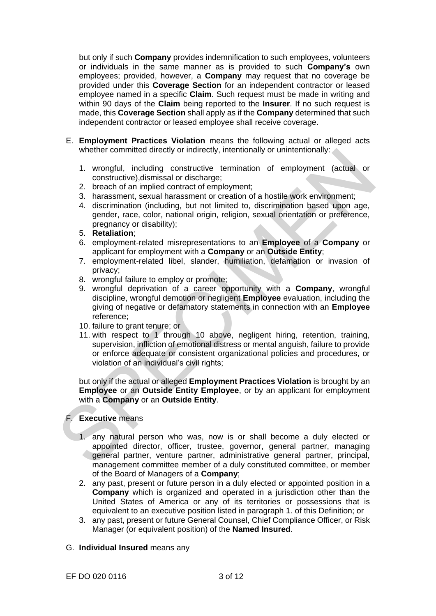but only if such **Company** provides indemnification to such employees, volunteers or individuals in the same manner as is provided to such **Company's** own employees; provided, however, a **Company** may request that no coverage be provided under this **Coverage Section** for an independent contractor or leased employee named in a specific **Claim**. Such request must be made in writing and within 90 days of the **Claim** being reported to the **Insurer**. If no such request is made, this **Coverage Section** shall apply as if the **Company** determined that such independent contractor or leased employee shall receive coverage.

- E. **Employment Practices Violation** means the following actual or alleged acts whether committed directly or indirectly, intentionally or unintentionally:
	- 1. wrongful, including constructive termination of employment (actual or constructive),dismissal or discharge;
	- 2. breach of an implied contract of employment;
	- 3. harassment, sexual harassment or creation of a hostile work environment;
	- 4. discrimination (including, but not limited to, discrimination based upon age, gender, race, color, national origin, religion, sexual orientation or preference, pregnancy or disability);
	- 5. **Retaliation**;
	- 6. employment-related misrepresentations to an **Employee** of a **Company** or applicant for employment with a **Company** or an **Outside Entity**;
	- 7. employment-related libel, slander, humiliation, defamation or invasion of privacy;
	- 8. wrongful failure to employ or promote;
	- 9. wrongful deprivation of a career opportunity with a **Company**, wrongful discipline, wrongful demotion or negligent **Employee** evaluation, including the giving of negative or defamatory statements in connection with an **Employee**  reference;
	- 10. failure to grant tenure; or
- whether committed directly or indirectly, intentionally or unintentionally:<br>
1. wongfull, including constructive termination of employment (actual or<br>
constructive), dismissal or discharge;<br>
2. breach of an implied contrac 11. with respect to 1 through 10 above, negligent hiring, retention, training, supervision, infliction of emotional distress or mental anguish, failure to provide or enforce adequate or consistent organizational policies and procedures, or violation of an individual's civil rights;

but only if the actual or alleged **Employment Practices Violation** is brought by an **Employee** or an **Outside Entity Employee**, or by an applicant for employment with a **Company** or an **Outside Entity**.

#### F. **Executive** means

- 1. any natural person who was, now is or shall become a duly elected or appointed director, officer, trustee, governor, general partner, managing general partner, venture partner, administrative general partner, principal, management committee member of a duly constituted committee, or member of the Board of Managers of a **Company**;
- 2. any past, present or future person in a duly elected or appointed position in a **Company** which is organized and operated in a jurisdiction other than the United States of America or any of its territories or possessions that is equivalent to an executive position listed in paragraph 1. of this Definition; or
- 3. any past, present or future General Counsel, Chief Compliance Officer, or Risk Manager (or equivalent position) of the **Named Insured**.

#### G. **Individual Insured** means any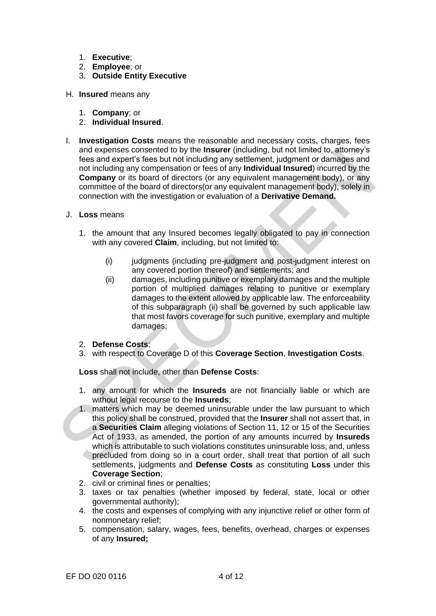- 1. **Executive**;
- 2. **Employee**; or
- 3. **Outside Entity Executive**
- H. **Insured** means any
	- 1. **Company**; or
	- 2. **Individual Insured**.
- I. **Investigation Costs** means the reasonable and necessary costs, charges, fees and expenses consented to by the **Insurer** (including, but not limited to, attorney's fees and expert's fees but not including any settlement, judgment or damages and not including any compensation or fees of any **Individual Insured**) incurred by the **Company** or its board of directors (or any equivalent management body), or any committee of the board of directors(or any equivalent management body), solely in connection with the investigation or evaluation of a **Derivative Demand.**
- J. **Loss** means
	- 1. the amount that any Insured becomes legally obligated to pay in connection with any covered **Claim**, including, but not limited to:
		- (i) judgments (including pre-judgment and post-judgment interest on any covered portion thereof) and settlements; and
		- (ii) damages, including punitive or exemplary damages and the multiple portion of multiplied damages relating to punitive or exemplary damages to the extent allowed by applicable law. The enforceability of this subparagraph (ii) shall be governed by such applicable law that most favors coverage for such punitive, exemplary and multiple damages;
	- 2. **Defense Costs**;
	- 3. with respect to Coverage D of this **Coverage Section**, **Investigation Costs**.

**Loss** shall not include, other than **Defense Costs**:

- 1. any amount for which the **Insureds** are not financially liable or which are without legal recourse to the **Insureds**;
- and expenses consented to by the **instant experimentally** abit of limited to attempt it desired and ordinaring any settlement, judgment or damages and not including any settlement, judgment or damages and not company or it 1. matters which may be deemed uninsurable under the law pursuant to which this policy shall be construed, provided that the **Insurer** shall not assert that, in a **Securities Claim** alleging violations of Section 11, 12 or 15 of the Securities Act of 1933, as amended, the portion of any amounts incurred by **Insureds**  which is attributable to such violations constitutes uninsurable loss, and, unless precluded from doing so in a court order, shall treat that portion of all such settlements, judgments and **Defense Costs** as constituting **Loss** under this **Coverage Section**;
	- 2. civil or criminal fines or penalties;
	- 3. taxes or tax penalties (whether imposed by federal, state, local or other governmental authority);
	- 4. the costs and expenses of complying with any injunctive relief or other form of nonmonetary relief;
	- 5. compensation, salary, wages, fees, benefits, overhead, charges or expenses of any **Insured;**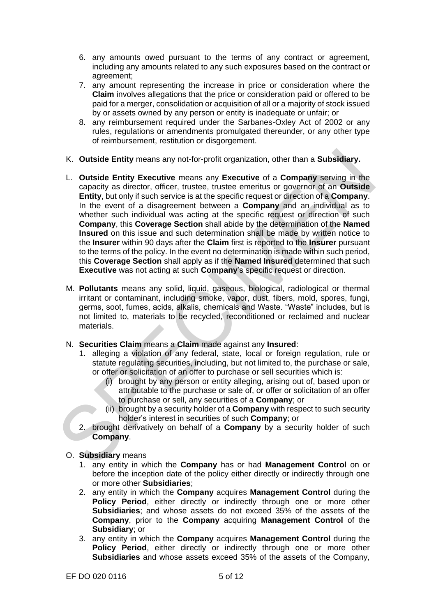- 6. any amounts owed pursuant to the terms of any contract or agreement, including any amounts related to any such exposures based on the contract or agreement;
- 7. any amount representing the increase in price or consideration where the **Claim** involves allegations that the price or consideration paid or offered to be paid for a merger, consolidation or acquisition of all or a majority of stock issued by or assets owned by any person or entity is inadequate or unfair; or
- 8. any reimbursement required under the Sarbanes-Oxley Act of 2002 or any rules, regulations or amendments promulgated thereunder, or any other type of reimbursement, restitution or disgorgement.
- K. **Outside Entity** means any not-for-profit organization, other than a **Subsidiary.**
- K. Outside Entity means any not-for-profit organization, other than a Subsidiary.<br>
L. Outside Entity Executive means any Executive of a Company serving in the<br>
capacity as director, officer, trustee, trustee emerities or L. **Outside Entity Executive** means any **Executive** of a **Company** serving in the capacity as director, officer, trustee, trustee emeritus or governor of an **Outside Entity**, but only if such service is at the specific request or direction of a **Company**. In the event of a disagreement between a **Company** and an individual as to whether such individual was acting at the specific request or direction of such **Company**, this **Coverage Section** shall abide by the determination of the **Named Insured** on this issue and such determination shall be made by written notice to the **Insurer** within 90 days after the **Claim** first is reported to the **Insurer** pursuant to the terms of the policy. In the event no determination is made within such period, this **Coverage Section** shall apply as if the **Named Insured** determined that such **Executive** was not acting at such **Company**'s specific request or direction.
	- M. **Pollutants** means any solid, liquid, gaseous, biological, radiological or thermal irritant or contaminant, including smoke, vapor, dust, fibers, mold, spores, fungi, germs, soot, fumes, acids, alkalis, chemicals and Waste. "Waste" includes, but is not limited to, materials to be recycled, reconditioned or reclaimed and nuclear materials.
	- N. **Securities Claim** means a **Claim** made against any **Insured**:
		- 1. alleging a violation of any federal, state, local or foreign regulation, rule or statute regulating securities, including, but not limited to, the purchase or sale, or offer or solicitation of an offer to purchase or sell securities which is:
			- (i) brought by any person or entity alleging, arising out of, based upon or attributable to the purchase or sale of, or offer or solicitation of an offer to purchase or sell, any securities of a **Company**; or
			- (ii) brought by a security holder of a **Company** with respect to such security holder's interest in securities of such **Company**; or
		- 2. brought derivatively on behalf of a **Company** by a security holder of such **Company**.
	- O. **Subsidiary** means
		- 1. any entity in which the **Company** has or had **Management Control** on or before the inception date of the policy either directly or indirectly through one or more other **Subsidiaries**;
		- 2. any entity in which the **Company** acquires **Management Control** during the **Policy Period**, either directly or indirectly through one or more other **Subsidiaries**; and whose assets do not exceed 35% of the assets of the **Company**, prior to the **Company** acquiring **Management Control** of the **Subsidiary**; or
		- 3. any entity in which the **Company** acquires **Management Control** during the **Policy Period**, either directly or indirectly through one or more other **Subsidiaries** and whose assets exceed 35% of the assets of the Company,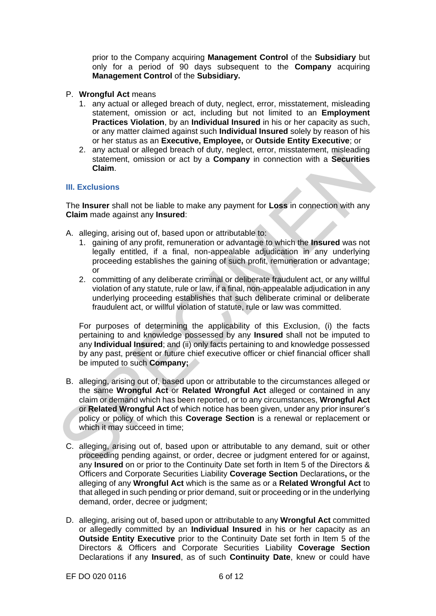prior to the Company acquiring **Management Control** of the **Subsidiary** but only for a period of 90 days subsequent to the **Company** acquiring **Management Control** of the **Subsidiary.**

- P. **Wrongful Act** means
	- 1. any actual or alleged breach of duty, neglect, error, misstatement, misleading statement, omission or act, including but not limited to an **Employment Practices Violation**, by an **Individual Insured** in his or her capacity as such, or any matter claimed against such **Individual Insured** solely by reason of his or her status as an **Executive, Employee,** or **Outside Entity Executive**; or
	- 2. any actual or alleged breach of duty, neglect, error, misstatement, misleading statement, omission or act by a **Company** in connection with a **Securities Claim**.

## **III. Exclusions**

The **Insurer** shall not be liable to make any payment for **Loss** in connection with any **Claim** made against any **Insured**:

- A. alleging, arising out of, based upon or attributable to:
	- 1. gaining of any profit, remuneration or advantage to which the **Insured** was not legally entitled, if a final, non-appealable adjudication in any underlying proceeding establishes the gaining of such profit, remuneration or advantage; or
	- 2. committing of any deliberate criminal or deliberate fraudulent act, or any willful violation of any statute, rule or law, if a final, non-appealable adjudication in any underlying proceeding establishes that such deliberate criminal or deliberate fraudulent act, or willful violation of statute, rule or law was committed.

For purposes of determining the applicability of this Exclusion, (i) the facts pertaining to and knowledge possessed by any **Insured** shall not be imputed to any **Individual Insured**; and (ii) only facts pertaining to and knowledge possessed by any past, present or future chief executive officer or chief financial officer shall be imputed to such **Company;**

- 2. any actual or alleged breach of duty, neglect, error, mestatement, omission or act by a **Company** in connection with a **Securities**<br>
Claim.<br>
III. Exclusions<br>
The **Insurer** shall not be liable to make any payment for **Lo** B. alleging, arising out of, based upon or attributable to the circumstances alleged or the same **Wrongful Act** or **Related Wrongful Act** alleged or contained in any claim or demand which has been reported, or to any circumstances, **Wrongful Act**  or **Related Wrongful Act** of which notice has been given, under any prior insurer's policy or policy of which this **Coverage Section** is a renewal or replacement or which it may succeed in time;
	- C. alleging, arising out of, based upon or attributable to any demand, suit or other proceeding pending against, or order, decree or judgment entered for or against, any **Insured** on or prior to the Continuity Date set forth in Item 5 of the Directors & Officers and Corporate Securities Liability **Coverage Section** Declarations**,** or the alleging of any **Wrongful Act** which is the same as or a **Related Wrongful Act** to that alleged in such pending or prior demand, suit or proceeding or in the underlying demand, order, decree or judgment;
	- D. alleging, arising out of, based upon or attributable to any **Wrongful Act** committed or allegedly committed by an **Individual Insured** in his or her capacity as an **Outside Entity Executive** prior to the Continuity Date set forth in Item 5 of the Directors & Officers and Corporate Securities Liability **Coverage Section** Declarations if any **Insured**, as of such **Continuity Date**, knew or could have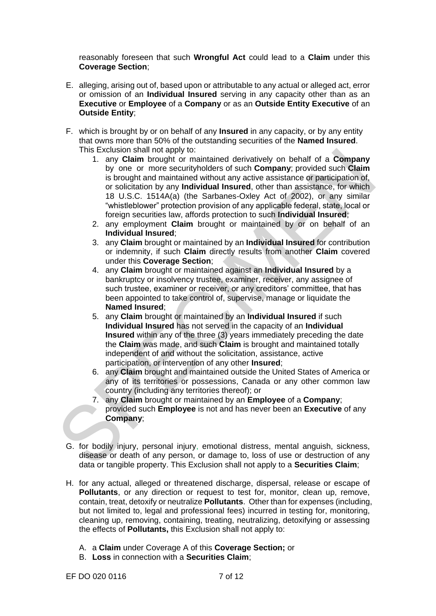reasonably foreseen that such **Wrongful Act** could lead to a **Claim** under this **Coverage Section**;

- E. alleging, arising out of, based upon or attributable to any actual or alleged act, error or omission of an **Individual Insured** serving in any capacity other than as an **Executive** or **Employee** of a **Company** or as an **Outside Entity Executive** of an **Outside Entity**;
- F. which is brought by or on behalf of any **Insured** in any capacity, or by any entity that owns more than 50% of the outstanding securities of the **Named Insured**. This Exclusion shall not apply to:
- Instactions mail not apply to:<br>
scrucision for a mind in the propary or the security on behalt of a Company<br>
by one or more security of such Company; provided such Claim<br>
is brought and maintained without any active assist 1. any **Claim** brought or maintained derivatively on behalf of a **Company**  by one or more securityholders of such **Company**; provided such **Claim**  is brought and maintained without any active assistance or participation of, or solicitation by any **Individual Insured**, other than assistance, for which 18 U.S.C. 1514A(a) (the Sarbanes-Oxley Act of 2002), or any similar "whistleblower" protection provision of any applicable federal, state, local or foreign securities law, affords protection to such **Individual Insured**;
	- 2. any employment **Claim** brought or maintained by or on behalf of an **Individual Insured**;
	- 3. any **Claim** brought or maintained by an **Individual Insured** for contribution or indemnity, if such **Claim** directly results from another **Claim** covered under this **Coverage Section**;
	- 4. any **Claim** brought or maintained against an **Individual Insured** by a bankruptcy or insolvency trustee, examiner, receiver, any assignee of such trustee, examiner or receiver, or any creditors' committee, that has been appointed to take control of, supervise, manage or liquidate the **Named Insured**;
	- 5. any **Claim** brought or maintained by an **Individual Insured** if such **Individual Insured** has not served in the capacity of an **Individual Insured** within any of the three (3) years immediately preceding the date the **Claim** was made, and such **Claim** is brought and maintained totally independent of and without the solicitation, assistance, active participation, or intervention of any other **Insured**;
	- 6. any **Claim** brought and maintained outside the United States of America or any of its territories or possessions, Canada or any other common law country (including any territories thereof); or
	- 7. any **Claim** brought or maintained by an **Employee** of a **Company**; provided such **Employee** is not and has never been an **Executive** of any **Company**;
	- G. for bodily injury, personal injury, emotional distress, mental anguish, sickness, disease or death of any person, or damage to, loss of use or destruction of any data or tangible property. This Exclusion shall not apply to a **Securities Claim**;
	- H. for any actual, alleged or threatened discharge, dispersal, release or escape of **Pollutants**, or any direction or request to test for, monitor, clean up, remove, contain, treat, detoxify or neutralize **Pollutants**. Other than for expenses (including, but not limited to, legal and professional fees) incurred in testing for, monitoring, cleaning up, removing, containing, treating, neutralizing, detoxifying or assessing the effects of **Pollutants,** this Exclusion shall not apply to:
		- A. a **Claim** under Coverage A of this **Coverage Section;** or
		- B. **Loss** in connection with a **Securities Claim**;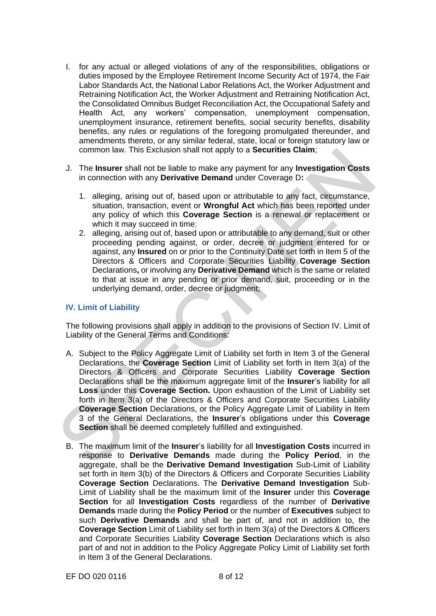- I. for any actual or alleged violations of any of the responsibilities, obligations or duties imposed by the Employee Retirement Income Security Act of 1974, the Fair Labor Standards Act, the National Labor Relations Act, the Worker Adjustment and Retraining Notification Act, the Worker Adjustment and Retraining Notification Act, the Consolidated Omnibus Budget Reconciliation Act, the Occupational Safety and Health Act, any workers' compensation, unemployment compensation, unemployment insurance, retirement benefits, social security benefits, disability benefits, any rules or regulations of the foregoing promulgated thereunder, and amendments thereto, or any similar federal, state, local or foreign statutory law or common law. This Exclusion shall not apply to a **Securities Claim**;
- J. The **Insurer** shall not be liable to make any payment for any **Investigation Costs**  in connection with any **Derivative Demand** under Coverage D**:**
	- 1. alleging, arising out of, based upon or attributable to any fact, circumstance, situation, transaction, event or **Wrongful Act** which has been reported under any policy of which this **Coverage Section** is a renewal or replacement or which it may succeed in time;
	- 2. alleging, arising out of, based upon or attributable to any demand, suit or other proceeding pending against, or order, decree or judgment entered for or against, any **Insured** on or prior to the Continuity Date set forth in Item 5 of the Directors & Officers and Corporate Securities Liability **Coverage Section** Declarations**,** or involving any **Derivative Demand** which is the same or related to that at issue in any pending or prior demand, suit, proceeding or in the underlying demand, order, decree or judgment;

## **IV. Limit of Liability**

The following provisions shall apply in addition to the provisions of Section IV. Limit of Liability of the General Terms and Conditions:

- common law. This Exclusion shall not apply to a **Securities Ciam**;<br>
1. The Insurer shall not be liable to make any payment for any Investigation Costs<br>
in connection with any Derivative Demand under Coverage D:<br>
1. allegin A. Subject to the Policy Aggregate Limit of Liability set forth in Item 3 of the General Declarations, the **Coverage Section** Limit of Liability set forth in Item 3(a) of the Directors & Officers and Corporate Securities Liability **Coverage Section** Declarations shall be the maximum aggregate limit of the **Insurer**'s liability for all **Loss** under this **Coverage Section.** Upon exhaustion of the Limit of Liability set forth in Item 3(a) of the Directors & Officers and Corporate Securities Liability **Coverage Section** Declarations, or the Policy Aggregate Limit of Liability in Item 3 of the General Declarations, the **Insurer**'s obligations under this **Coverage Section** shall be deemed completely fulfilled and extinguished.
	- B. The maximum limit of the **Insurer**'s liability for all **Investigation Costs** incurred in response to **Derivative Demands** made during the **Policy Period**, in the aggregate, shall be the **Derivative Demand Investigation** Sub-Limit of Liability set forth in Item 3(b) of the Directors & Officers and Corporate Securities Liability **Coverage Section** Declarations. The **Derivative Demand Investigation** Sub-Limit of Liability shall be the maximum limit of the **Insurer** under this **Coverage Section** for all **Investigation Costs** regardless of the number of **Derivative Demands** made during the **Policy Period** or the number of **Executives** subject to such **Derivative Demands** and shall be part of, and not in addition to, the **Coverage Section** Limit of Liability set forth in Item 3(a) of the Directors & Officers and Corporate Securities Liability **Coverage Section** Declarations which is also part of and not in addition to the Policy Aggregate Policy Limit of Liability set forth in Item 3 of the General Declarations.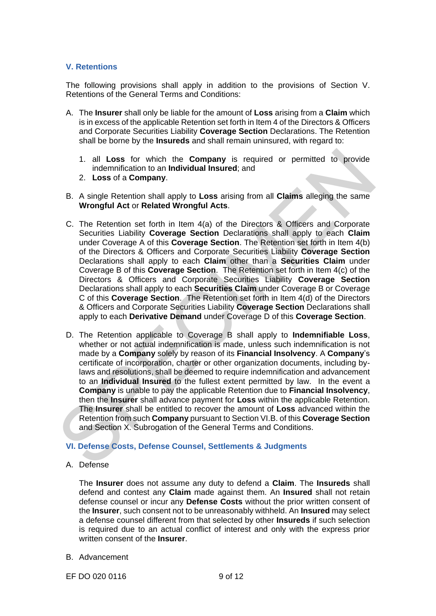## **V. Retentions**

The following provisions shall apply in addition to the provisions of Section V. Retentions of the General Terms and Conditions:

- A. The **Insurer** shall only be liable for the amount of **Loss** arising from a **Claim** which is in excess of the applicable Retention set forth in Item 4 of the Directors & Officers and Corporate Securities Liability **Coverage Section** Declarations. The Retention shall be borne by the **Insureds** and shall remain uninsured, with regard to:
	- 1. all **Loss** for which the **Company** is required or permitted to provide indemnification to an **Individual Insured**; and
	- 2. **Loss** of a **Company**.
- B. A single Retention shall apply to **Loss** arising from all **Claims** alleging the same **Wrongful Act** or **Related Wrongful Acts**.
- C. The Retention set forth in Item 4(a) of the Directors & Officers and Corporate Securities Liability **Coverage Section** Declarations shall apply to each **Claim**  under Coverage A of this **Coverage Section**. The Retention set forth in Item 4(b) of the Directors & Officers and Corporate Securities Liability **Coverage Section** Declarations shall apply to each **Claim** other than a **Securities Claim** under Coverage B of this **Coverage Section**. The Retention set forth in Item 4(c) of the Directors & Officers and Corporate Securities Liability **Coverage Section** Declarations shall apply to each **Securities Claim** under Coverage B or Coverage C of this **Coverage Section**. The Retention set forth in Item 4(d) of the Directors & Officers and Corporate Securities Liability **Coverage Section** Declarations shall apply to each **Derivative Demand** under Coverage D of this **Coverage Section**.
- 1. all Loss for which the Company is required or permitted to provide<br>
indeminication to an Individual Insured; and<br>
2. Loss of a Company.<br>
B. A single Retention shall apply to Loss arising from all Claims alleging the sa D. The Retention applicable to Coverage B shall apply to **Indemnifiable Loss**, whether or not actual indemnification is made, unless such indemnification is not made by a **Company** solely by reason of its **Financial Insolvency**. A **Company**'s certificate of incorporation, charter or other organization documents, including bylaws and resolutions, shall be deemed to require indemnification and advancement to an **Individual Insured** to the fullest extent permitted by law. In the event a **Company** is unable to pay the applicable Retention due to **Financial Insolvency**, then the **Insurer** shall advance payment for **Loss** within the applicable Retention. The **Insurer** shall be entitled to recover the amount of **Loss** advanced within the Retention from such **Company** pursuant to Section VI.B. of this **Coverage Section** and Section X. Subrogation of the General Terms and Conditions.

# **VI. Defense Costs, Defense Counsel, Settlements & Judgments**

A. Defense

The **Insurer** does not assume any duty to defend a **Claim**. The **Insureds** shall defend and contest any **Claim** made against them. An **Insured** shall not retain defense counsel or incur any **Defense Costs** without the prior written consent of the **Insurer**, such consent not to be unreasonably withheld. An **Insured** may select a defense counsel different from that selected by other **Insureds** if such selection is required due to an actual conflict of interest and only with the express prior written consent of the **Insurer**.

B. Advancement

EF DO 020 0116 9 of 12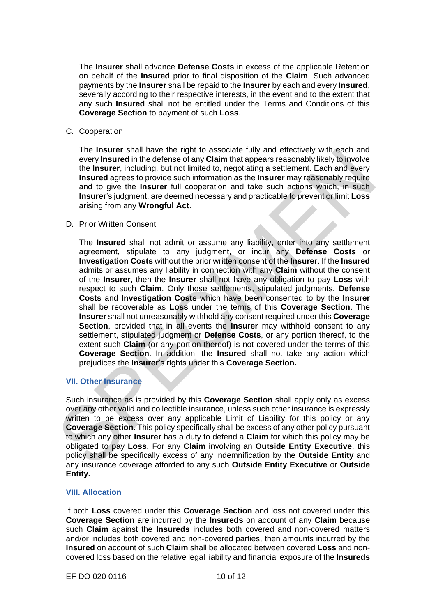The **Insurer** shall advance **Defense Costs** in excess of the applicable Retention on behalf of the **Insured** prior to final disposition of the **Claim**. Such advanced payments by the **Insurer** shall be repaid to the **Insurer** by each and every **Insured**, severally according to their respective interests, in the event and to the extent that any such **Insured** shall not be entitled under the Terms and Conditions of this **Coverage Section** to payment of such **Loss**.

C. Cooperation

The **Insurer** shall have the right to associate fully and effectively with each and every **Insured** in the defense of any **Claim** that appears reasonably likely to involve the **Insurer**, including, but not limited to, negotiating a settlement. Each and every **Insured** agrees to provide such information as the **Insurer** may reasonably require and to give the **Insurer** full cooperation and take such actions which, in such **Insurer**'s judgment, are deemed necessary and practicable to prevent or limit **Loss**  arising from any **Wrongful Act**.

#### D. Prior Written Consent

The Insurar shall have the ingrit to associate tully and effectively with each energy interest and to be energy increased to the insurer, including, but not limited to, negotiating a settement. Each and every linear agrees The **Insured** shall not admit or assume any liability, enter into any settlement agreement, stipulate to any judgment, or incur any **Defense Costs** or **Investigation Costs** without the prior written consent of the **Insurer**. If the **Insured**  admits or assumes any liability in connection with any **Claim** without the consent of the **Insurer**, then the **Insurer** shall not have any obligation to pay **Loss** with respect to such **Claim**. Only those settlements, stipulated judgments, **Defense Costs** and **Investigation Costs** which have been consented to by the **Insurer**  shall be recoverable as **Loss** under the terms of this **Coverage Section**. The **Insurer** shall not unreasonably withhold any consent required under this **Coverage Section**, provided that in all events the **Insurer** may withhold consent to any settlement, stipulated judgment or **Defense Costs**, or any portion thereof, to the extent such **Claim** (or any portion thereof) is not covered under the terms of this **Coverage Section**. In addition, the **Insured** shall not take any action which prejudices the **Insurer**'s rights under this **Coverage Section.**

## **VII. Other Insurance**

Such insurance as is provided by this **Coverage Section** shall apply only as excess over any other valid and collectible insurance, unless such other insurance is expressly written to be excess over any applicable Limit of Liability for this policy or any **Coverage Section**. This policy specifically shall be excess of any other policy pursuant to which any other **Insurer** has a duty to defend a **Claim** for which this policy may be obligated to pay **Loss**. For any **Claim** involving an **Outside Entity Executive**, this policy shall be specifically excess of any indemnification by the **Outside Entity** and any insurance coverage afforded to any such **Outside Entity Executive** or **Outside Entity.**

#### **VIII. Allocation**

If both **Loss** covered under this **Coverage Section** and loss not covered under this **Coverage Section** are incurred by the **Insureds** on account of any **Claim** because such **Claim** against the **Insureds** includes both covered and non-covered matters and/or includes both covered and non-covered parties, then amounts incurred by the **Insured** on account of such **Claim** shall be allocated between covered **Loss** and noncovered loss based on the relative legal liability and financial exposure of the **Insureds**